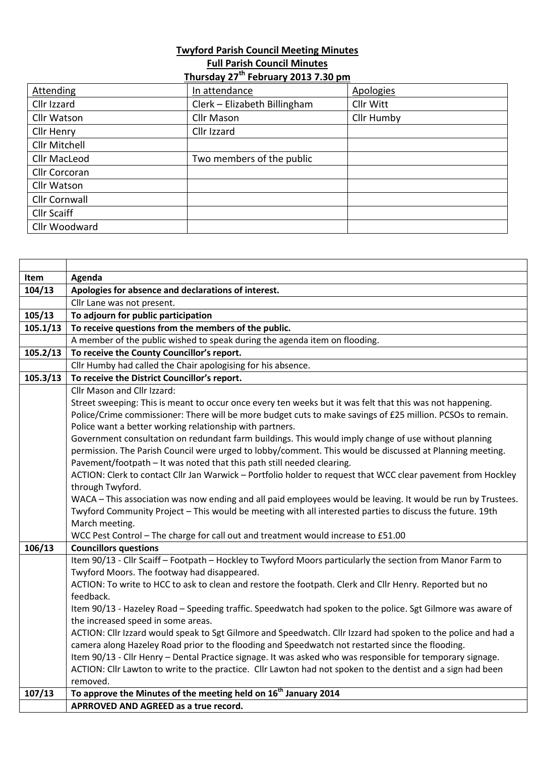## **Twyford Parish Council Meeting Minutes Full Parish Council Minutes Thursday 27th February 2013 7.30 pm**

| Attending          | In attendance                | <b>Apologies</b> |
|--------------------|------------------------------|------------------|
| Cllr Izzard        | Clerk - Elizabeth Billingham | Cllr Witt        |
| Cllr Watson        | Cllr Mason                   | Cllr Humby       |
|                    |                              |                  |
| Cllr Henry         | Cllr Izzard                  |                  |
| Cllr Mitchell      |                              |                  |
| Cllr MacLeod       | Two members of the public    |                  |
| Cllr Corcoran      |                              |                  |
| Cllr Watson        |                              |                  |
| Cllr Cornwall      |                              |                  |
| <b>Cllr Scaiff</b> |                              |                  |
| Cllr Woodward      |                              |                  |

| Item     | Agenda                                                                                                                   |
|----------|--------------------------------------------------------------------------------------------------------------------------|
| 104/13   | Apologies for absence and declarations of interest.                                                                      |
|          | Cllr Lane was not present.                                                                                               |
| 105/13   | To adjourn for public participation                                                                                      |
| 105.1/13 | To receive questions from the members of the public.                                                                     |
|          | A member of the public wished to speak during the agenda item on flooding.                                               |
| 105.2/13 | To receive the County Councillor's report.                                                                               |
|          | Cllr Humby had called the Chair apologising for his absence.                                                             |
| 105.3/13 | To receive the District Councillor's report.                                                                             |
|          | Cllr Mason and Cllr Izzard:                                                                                              |
|          | Street sweeping: This is meant to occur once every ten weeks but it was felt that this was not happening.                |
|          | Police/Crime commissioner: There will be more budget cuts to make savings of £25 million. PCSOs to remain.               |
|          | Police want a better working relationship with partners.                                                                 |
|          | Government consultation on redundant farm buildings. This would imply change of use without planning                     |
|          | permission. The Parish Council were urged to lobby/comment. This would be discussed at Planning meeting.                 |
|          | Pavement/footpath - It was noted that this path still needed clearing.                                                   |
|          | ACTION: Clerk to contact Cllr Jan Warwick - Portfolio holder to request that WCC clear pavement from Hockley             |
|          | through Twyford.                                                                                                         |
|          | WACA - This association was now ending and all paid employees would be leaving. It would be run by Trustees.             |
|          | Twyford Community Project - This would be meeting with all interested parties to discuss the future. 19th                |
|          | March meeting.                                                                                                           |
|          | WCC Pest Control - The charge for call out and treatment would increase to £51.00                                        |
| 106/13   | <b>Councillors questions</b>                                                                                             |
|          | Item 90/13 - Cllr Scaiff - Footpath - Hockley to Twyford Moors particularly the section from Manor Farm to               |
|          | Twyford Moors. The footway had disappeared.                                                                              |
|          | ACTION: To write to HCC to ask to clean and restore the footpath. Clerk and Cllr Henry. Reported but no                  |
|          | feedback.<br>Item 90/13 - Hazeley Road - Speeding traffic. Speedwatch had spoken to the police. Sgt Gilmore was aware of |
|          | the increased speed in some areas.                                                                                       |
|          | ACTION: Cllr Izzard would speak to Sgt Gilmore and Speedwatch. Cllr Izzard had spoken to the police and had a            |
|          | camera along Hazeley Road prior to the flooding and Speedwatch not restarted since the flooding.                         |
|          | Item 90/13 - Cllr Henry - Dental Practice signage. It was asked who was responsible for temporary signage.               |
|          | ACTION: Cllr Lawton to write to the practice. Cllr Lawton had not spoken to the dentist and a sign had been              |
|          | removed.                                                                                                                 |
| 107/13   | To approve the Minutes of the meeting held on 16 <sup>th</sup> January 2014                                              |
|          | APRROVED AND AGREED as a true record.                                                                                    |
|          |                                                                                                                          |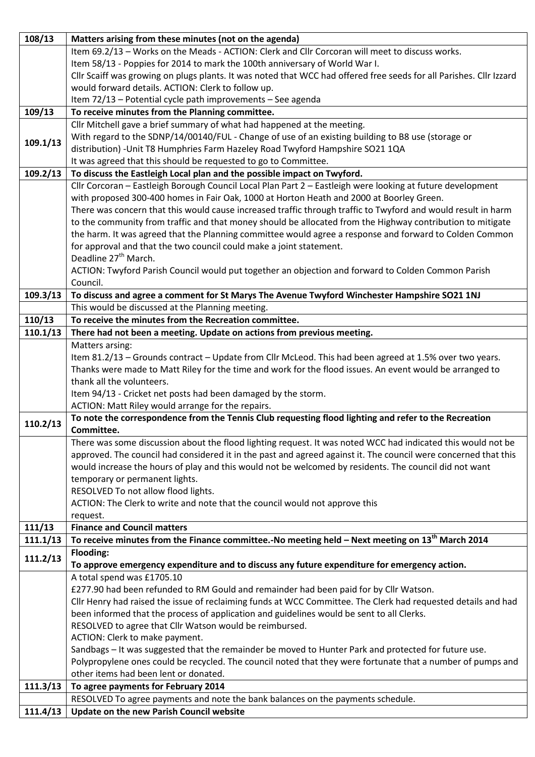| 108/13   | Matters arising from these minutes (not on the agenda)                                                              |
|----------|---------------------------------------------------------------------------------------------------------------------|
|          | Item 69.2/13 - Works on the Meads - ACTION: Clerk and Cllr Corcoran will meet to discuss works.                     |
|          | Item 58/13 - Poppies for 2014 to mark the 100th anniversary of World War I.                                         |
|          | Cllr Scaiff was growing on plugs plants. It was noted that WCC had offered free seeds for all Parishes. Cllr Izzard |
|          | would forward details. ACTION: Clerk to follow up.                                                                  |
|          | Item 72/13 - Potential cycle path improvements - See agenda                                                         |
| 109/13   | To receive minutes from the Planning committee.                                                                     |
|          | Cllr Mitchell gave a brief summary of what had happened at the meeting.                                             |
| 109.1/13 | With regard to the SDNP/14/00140/FUL - Change of use of an existing building to B8 use (storage or                  |
|          | distribution) - Unit T8 Humphries Farm Hazeley Road Twyford Hampshire SO21 1QA                                      |
|          | It was agreed that this should be requested to go to Committee.                                                     |
| 109.2/13 | To discuss the Eastleigh Local plan and the possible impact on Twyford.                                             |
|          | Cllr Corcoran - Eastleigh Borough Council Local Plan Part 2 - Eastleigh were looking at future development          |
|          | with proposed 300-400 homes in Fair Oak, 1000 at Horton Heath and 2000 at Boorley Green.                            |
|          | There was concern that this would cause increased traffic through traffic to Twyford and would result in harm       |
|          | to the community from traffic and that money should be allocated from the Highway contribution to mitigate          |
|          | the harm. It was agreed that the Planning committee would agree a response and forward to Colden Common             |
|          | for approval and that the two council could make a joint statement.                                                 |
|          | Deadline 27 <sup>th</sup> March.                                                                                    |
|          | ACTION: Twyford Parish Council would put together an objection and forward to Colden Common Parish                  |
|          | Council.                                                                                                            |
| 109.3/13 | To discuss and agree a comment for St Marys The Avenue Twyford Winchester Hampshire SO21 1NJ                        |
|          | This would be discussed at the Planning meeting.                                                                    |
| 110/13   | To receive the minutes from the Recreation committee.                                                               |
| 110.1/13 | There had not been a meeting. Update on actions from previous meeting.                                              |
|          | Matters arsing:                                                                                                     |
|          | Item 81.2/13 - Grounds contract - Update from Cllr McLeod. This had been agreed at 1.5% over two years.             |
|          | Thanks were made to Matt Riley for the time and work for the flood issues. An event would be arranged to            |
|          | thank all the volunteers.                                                                                           |
|          | Item 94/13 - Cricket net posts had been damaged by the storm.                                                       |
|          | ACTION: Matt Riley would arrange for the repairs.                                                                   |
| 110.2/13 | To note the correspondence from the Tennis Club requesting flood lighting and refer to the Recreation               |
|          | Committee.                                                                                                          |
|          | There was some discussion about the flood lighting request. It was noted WCC had indicated this would not be        |
|          | approved. The council had considered it in the past and agreed against it. The council were concerned that this     |
|          | would increase the hours of play and this would not be welcomed by residents. The council did not want              |
|          | temporary or permanent lights.                                                                                      |
|          | RESOLVED To not allow flood lights.                                                                                 |
|          | ACTION: The Clerk to write and note that the council would not approve this                                         |
|          | request.                                                                                                            |
| 111/13   | <b>Finance and Council matters</b>                                                                                  |
| 111.1/13 | To receive minutes from the Finance committee.-No meeting held – Next meeting on $13th$ March 2014                  |
| 111.2/13 | Flooding:                                                                                                           |
|          | To approve emergency expenditure and to discuss any future expenditure for emergency action.                        |
|          | A total spend was £1705.10                                                                                          |
|          | £277.90 had been refunded to RM Gould and remainder had been paid for by Cllr Watson.                               |
|          | Cllr Henry had raised the issue of reclaiming funds at WCC Committee. The Clerk had requested details and had       |
|          | been informed that the process of application and guidelines would be sent to all Clerks.                           |
|          | RESOLVED to agree that Cllr Watson would be reimbursed.                                                             |
|          | ACTION: Clerk to make payment.                                                                                      |
|          | Sandbags - It was suggested that the remainder be moved to Hunter Park and protected for future use.                |
|          | Polypropylene ones could be recycled. The council noted that they were fortunate that a number of pumps and         |
|          | other items had been lent or donated.                                                                               |
| 111.3/13 | To agree payments for February 2014                                                                                 |
|          | RESOLVED To agree payments and note the bank balances on the payments schedule.                                     |
| 111.4/13 | Update on the new Parish Council website                                                                            |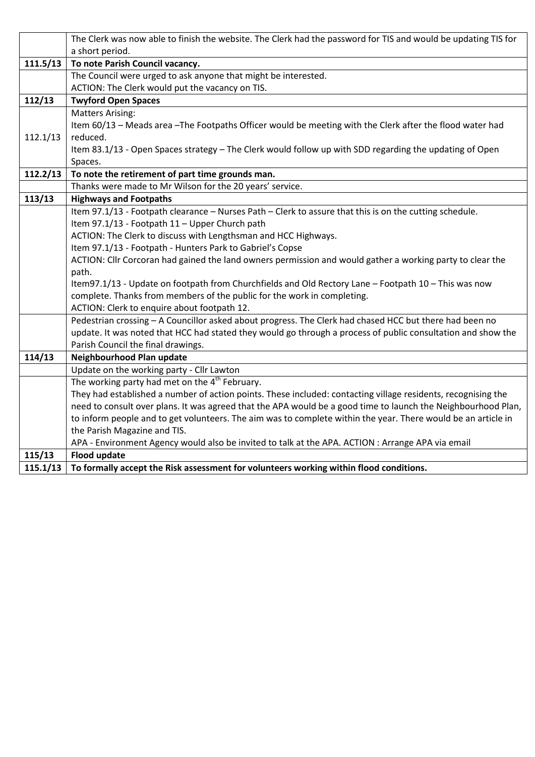|          | The Clerk was now able to finish the website. The Clerk had the password for TIS and would be updating TIS for |
|----------|----------------------------------------------------------------------------------------------------------------|
|          | a short period.                                                                                                |
| 111.5/13 | To note Parish Council vacancy.                                                                                |
|          | The Council were urged to ask anyone that might be interested.                                                 |
|          | ACTION: The Clerk would put the vacancy on TIS.                                                                |
| 112/13   | <b>Twyford Open Spaces</b>                                                                                     |
|          | <b>Matters Arising:</b>                                                                                        |
|          | Item 60/13 - Meads area - The Footpaths Officer would be meeting with the Clerk after the flood water had      |
| 112.1/13 | reduced.                                                                                                       |
|          | Item 83.1/13 - Open Spaces strategy - The Clerk would follow up with SDD regarding the updating of Open        |
|          | Spaces.                                                                                                        |
| 112.2/13 | To note the retirement of part time grounds man.                                                               |
|          | Thanks were made to Mr Wilson for the 20 years' service.                                                       |
| 113/13   | <b>Highways and Footpaths</b>                                                                                  |
|          | Item 97.1/13 - Footpath clearance - Nurses Path - Clerk to assure that this is on the cutting schedule.        |
|          | Item 97.1/13 - Footpath 11 - Upper Church path                                                                 |
|          | ACTION: The Clerk to discuss with Lengthsman and HCC Highways.                                                 |
|          | Item 97.1/13 - Footpath - Hunters Park to Gabriel's Copse                                                      |
|          | ACTION: Cllr Corcoran had gained the land owners permission and would gather a working party to clear the      |
|          | path.                                                                                                          |
|          | Item97.1/13 - Update on footpath from Churchfields and Old Rectory Lane - Footpath 10 - This was now           |
|          | complete. Thanks from members of the public for the work in completing.                                        |
|          | ACTION: Clerk to enquire about footpath 12.                                                                    |
|          | Pedestrian crossing - A Councillor asked about progress. The Clerk had chased HCC but there had been no        |
|          | update. It was noted that HCC had stated they would go through a process of public consultation and show the   |
|          | Parish Council the final drawings.                                                                             |
| 114/13   | Neighbourhood Plan update                                                                                      |
|          | Update on the working party - Cllr Lawton                                                                      |
|          | The working party had met on the $4th$ February.                                                               |
|          | They had established a number of action points. These included: contacting village residents, recognising the  |
|          | need to consult over plans. It was agreed that the APA would be a good time to launch the Neighbourhood Plan,  |
|          | to inform people and to get volunteers. The aim was to complete within the year. There would be an article in  |
|          | the Parish Magazine and TIS.                                                                                   |
|          | APA - Environment Agency would also be invited to talk at the APA. ACTION : Arrange APA via email              |
| 115/13   | <b>Flood update</b>                                                                                            |
| 115.1/13 | To formally accept the Risk assessment for volunteers working within flood conditions.                         |